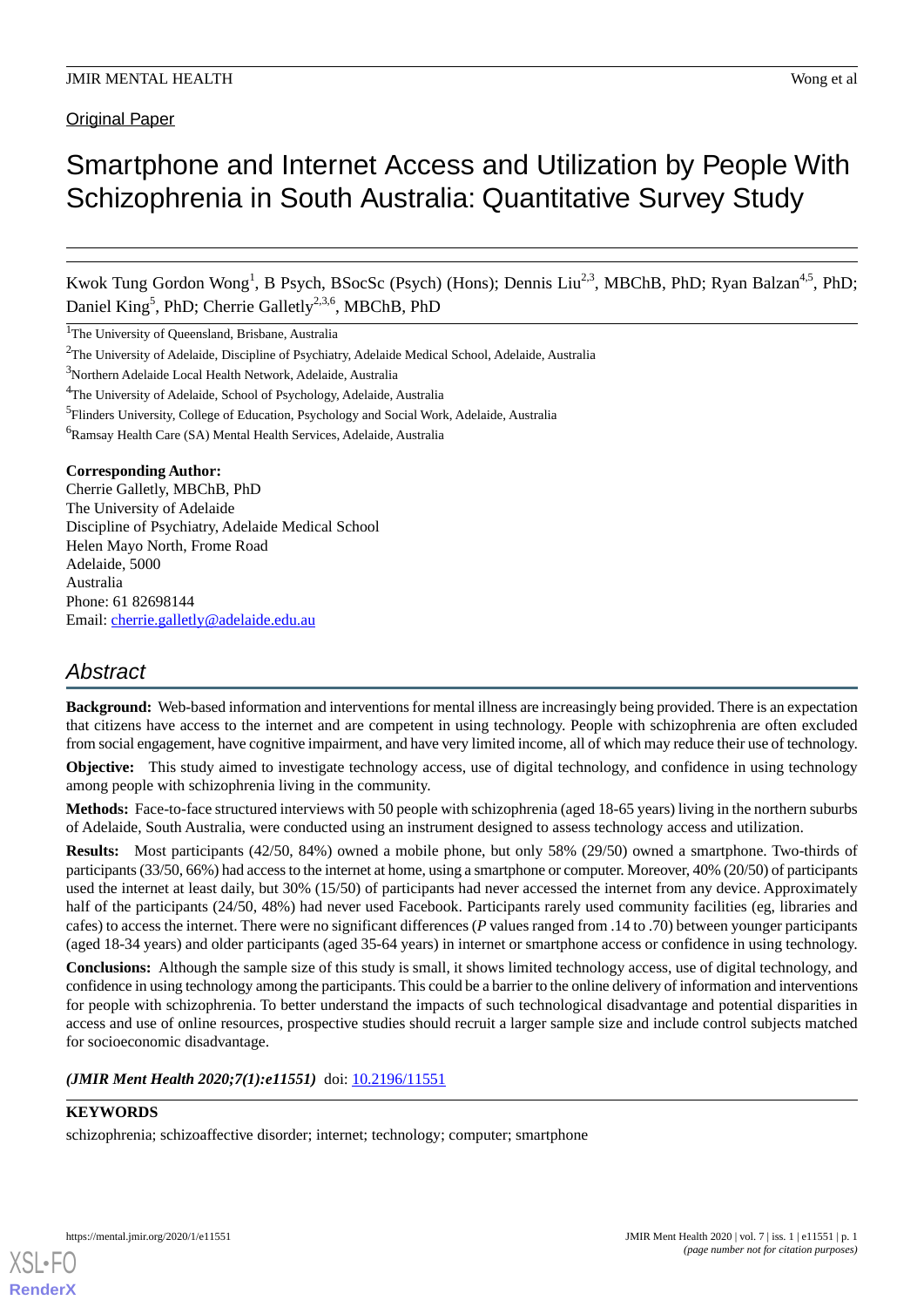# Smartphone and Internet Access and Utilization by People With Schizophrenia in South Australia: Quantitative Survey Study

Kwok Tung Gordon Wong<sup>1</sup>, B Psych, BSocSc (Psych) (Hons); Dennis Liu<sup>2,3</sup>, MBChB, PhD; Ryan Balzan<sup>4,5</sup>, PhD; Daniel King<sup>5</sup>, PhD; Cherrie Galletly<sup>2,3,6</sup>, MBChB, PhD

<sup>1</sup>The University of Queensland, Brisbane, Australia

<sup>3</sup>Northern Adelaide Local Health Network, Adelaide, Australia

<sup>6</sup>Ramsay Health Care (SA) Mental Health Services, Adelaide, Australia

### **Corresponding Author:**

Cherrie Galletly, MBChB, PhD The University of Adelaide Discipline of Psychiatry, Adelaide Medical School Helen Mayo North, Frome Road Adelaide, 5000 Australia Phone: 61 82698144 Email: [cherrie.galletly@adelaide.edu.au](mailto:cherrie.galletly@adelaide.edu.au)

## *Abstract*

**Background:** Web-based information and interventions for mental illness are increasingly being provided. There is an expectation that citizens have access to the internet and are competent in using technology. People with schizophrenia are often excluded from social engagement, have cognitive impairment, and have very limited income, all of which may reduce their use of technology.

**Objective:** This study aimed to investigate technology access, use of digital technology, and confidence in using technology among people with schizophrenia living in the community.

**Methods:** Face-to-face structured interviews with 50 people with schizophrenia (aged 18-65 years) living in the northern suburbs of Adelaide, South Australia, were conducted using an instrument designed to assess technology access and utilization.

**Results:** Most participants (42/50, 84%) owned a mobile phone, but only 58% (29/50) owned a smartphone. Two-thirds of participants (33/50, 66%) had access to the internet at home, using a smartphone or computer. Moreover, 40% (20/50) of participants used the internet at least daily, but 30% (15/50) of participants had never accessed the internet from any device. Approximately half of the participants (24/50, 48%) had never used Facebook. Participants rarely used community facilities (eg, libraries and cafes) to access the internet. There were no significant differences (*P* values ranged from .14 to .70) between younger participants (aged 18-34 years) and older participants (aged 35-64 years) in internet or smartphone access or confidence in using technology.

**Conclusions:** Although the sample size of this study is small, it shows limited technology access, use of digital technology, and confidence in using technology among the participants. This could be a barrier to the online delivery of information and interventions for people with schizophrenia. To better understand the impacts of such technological disadvantage and potential disparities in access and use of online resources, prospective studies should recruit a larger sample size and include control subjects matched for socioeconomic disadvantage.

*(JMIR Ment Health 2020;7(1):e11551)* doi: [10.2196/11551](http://dx.doi.org/10.2196/11551)

### **KEYWORDS**

[XSL](http://www.w3.org/Style/XSL)•FO **[RenderX](http://www.renderx.com/)**

schizophrenia; schizoaffective disorder; internet; technology; computer; smartphone

<sup>2</sup>The University of Adelaide, Discipline of Psychiatry, Adelaide Medical School, Adelaide, Australia

<sup>4</sup>The University of Adelaide, School of Psychology, Adelaide, Australia

<sup>&</sup>lt;sup>5</sup>Flinders University, College of Education, Psychology and Social Work, Adelaide, Australia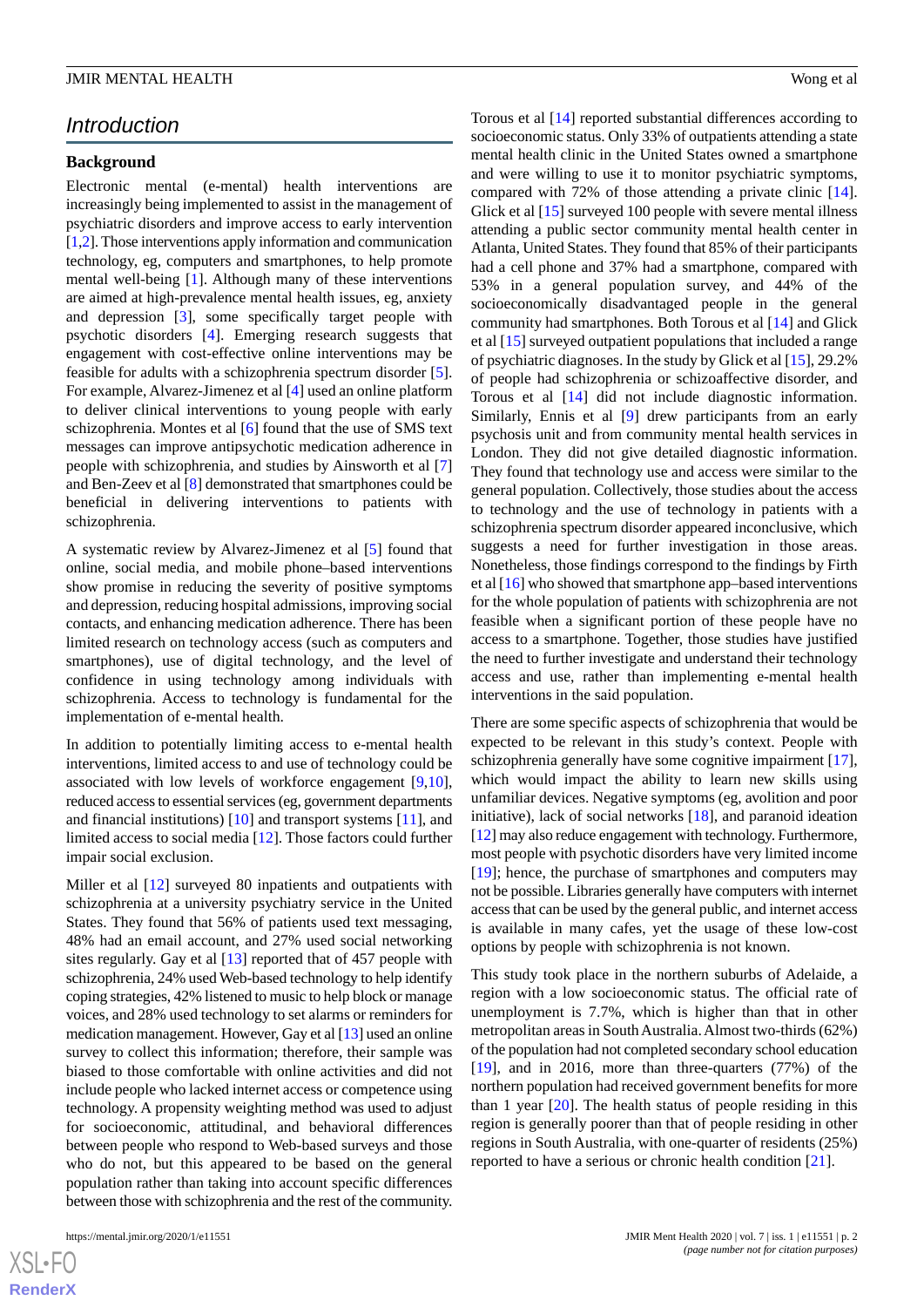### *Introduction*

### **Background**

Electronic mental (e-mental) health interventions are increasingly being implemented to assist in the management of psychiatric disorders and improve access to early intervention [[1,](#page-7-0)[2\]](#page-7-1). Those interventions apply information and communication technology, eg, computers and smartphones, to help promote mental well-being [[1\]](#page-7-0). Although many of these interventions are aimed at high-prevalence mental health issues, eg, anxiety and depression [[3](#page-7-2)], some specifically target people with psychotic disorders [[4\]](#page-7-3). Emerging research suggests that engagement with cost-effective online interventions may be feasible for adults with a schizophrenia spectrum disorder [[5\]](#page-7-4). For example, Alvarez-Jimenez et al [[4\]](#page-7-3) used an online platform to deliver clinical interventions to young people with early schizophrenia. Montes et al [\[6\]](#page-7-5) found that the use of SMS text messages can improve antipsychotic medication adherence in people with schizophrenia, and studies by Ainsworth et al [\[7](#page-7-6)] and Ben-Zeev et al [\[8](#page-8-0)] demonstrated that smartphones could be beneficial in delivering interventions to patients with schizophrenia.

A systematic review by Alvarez-Jimenez et al [[5\]](#page-7-4) found that online, social media, and mobile phone–based interventions show promise in reducing the severity of positive symptoms and depression, reducing hospital admissions, improving social contacts, and enhancing medication adherence. There has been limited research on technology access (such as computers and smartphones), use of digital technology, and the level of confidence in using technology among individuals with schizophrenia. Access to technology is fundamental for the implementation of e-mental health.

In addition to potentially limiting access to e-mental health interventions, limited access to and use of technology could be associated with low levels of workforce engagement [\[9](#page-8-1),[10\]](#page-8-2), reduced access to essential services (eg, government departments and financial institutions) [\[10](#page-8-2)] and transport systems [[11\]](#page-8-3), and limited access to social media [\[12](#page-8-4)]. Those factors could further impair social exclusion.

Miller et al [\[12](#page-8-4)] surveyed 80 inpatients and outpatients with schizophrenia at a university psychiatry service in the United States. They found that 56% of patients used text messaging, 48% had an email account, and 27% used social networking sites regularly. Gay et al [\[13](#page-8-5)] reported that of 457 people with schizophrenia, 24% used Web-based technology to help identify coping strategies, 42% listened to music to help block or manage voices, and 28% used technology to set alarms or reminders for medication management. However, Gay et al [\[13\]](#page-8-5) used an online survey to collect this information; therefore, their sample was biased to those comfortable with online activities and did not include people who lacked internet access or competence using technology. A propensity weighting method was used to adjust for socioeconomic, attitudinal, and behavioral differences between people who respond to Web-based surveys and those who do not, but this appeared to be based on the general population rather than taking into account specific differences between those with schizophrenia and the rest of the community.

Torous et al [[14\]](#page-8-6) reported substantial differences according to socioeconomic status. Only 33% of outpatients attending a state mental health clinic in the United States owned a smartphone and were willing to use it to monitor psychiatric symptoms, compared with 72% of those attending a private clinic [[14\]](#page-8-6). Glick et al [\[15](#page-8-7)] surveyed 100 people with severe mental illness attending a public sector community mental health center in Atlanta, United States. They found that 85% of their participants had a cell phone and 37% had a smartphone, compared with 53% in a general population survey, and 44% of the socioeconomically disadvantaged people in the general community had smartphones. Both Torous et al [[14\]](#page-8-6) and Glick et al [[15\]](#page-8-7) surveyed outpatient populations that included a range of psychiatric diagnoses. In the study by Glick et al [\[15](#page-8-7)], 29.2% of people had schizophrenia or schizoaffective disorder, and Torous et al [[14\]](#page-8-6) did not include diagnostic information. Similarly, Ennis et al [[9\]](#page-8-1) drew participants from an early psychosis unit and from community mental health services in London. They did not give detailed diagnostic information. They found that technology use and access were similar to the general population. Collectively, those studies about the access to technology and the use of technology in patients with a schizophrenia spectrum disorder appeared inconclusive, which suggests a need for further investigation in those areas. Nonetheless, those findings correspond to the findings by Firth et al [\[16](#page-8-8)] who showed that smartphone app–based interventions for the whole population of patients with schizophrenia are not feasible when a significant portion of these people have no access to a smartphone. Together, those studies have justified the need to further investigate and understand their technology access and use, rather than implementing e-mental health interventions in the said population.

There are some specific aspects of schizophrenia that would be expected to be relevant in this study's context. People with schizophrenia generally have some cognitive impairment [[17\]](#page-8-9), which would impact the ability to learn new skills using unfamiliar devices. Negative symptoms (eg, avolition and poor initiative), lack of social networks [[18\]](#page-8-10), and paranoid ideation [[12\]](#page-8-4) may also reduce engagement with technology. Furthermore, most people with psychotic disorders have very limited income [[19\]](#page-8-11); hence, the purchase of smartphones and computers may not be possible. Libraries generally have computers with internet access that can be used by the general public, and internet access is available in many cafes, yet the usage of these low-cost options by people with schizophrenia is not known.

This study took place in the northern suburbs of Adelaide, a region with a low socioeconomic status. The official rate of unemployment is 7.7%, which is higher than that in other metropolitan areas in South Australia. Almost two-thirds (62%) of the population had not completed secondary school education [[19\]](#page-8-11), and in 2016, more than three-quarters (77%) of the northern population had received government benefits for more than 1 year  $[20]$  $[20]$ . The health status of people residing in this region is generally poorer than that of people residing in other regions in South Australia, with one-quarter of residents (25%) reported to have a serious or chronic health condition [\[21](#page-8-13)].

 $XS$  $\cdot$ FC **[RenderX](http://www.renderx.com/)**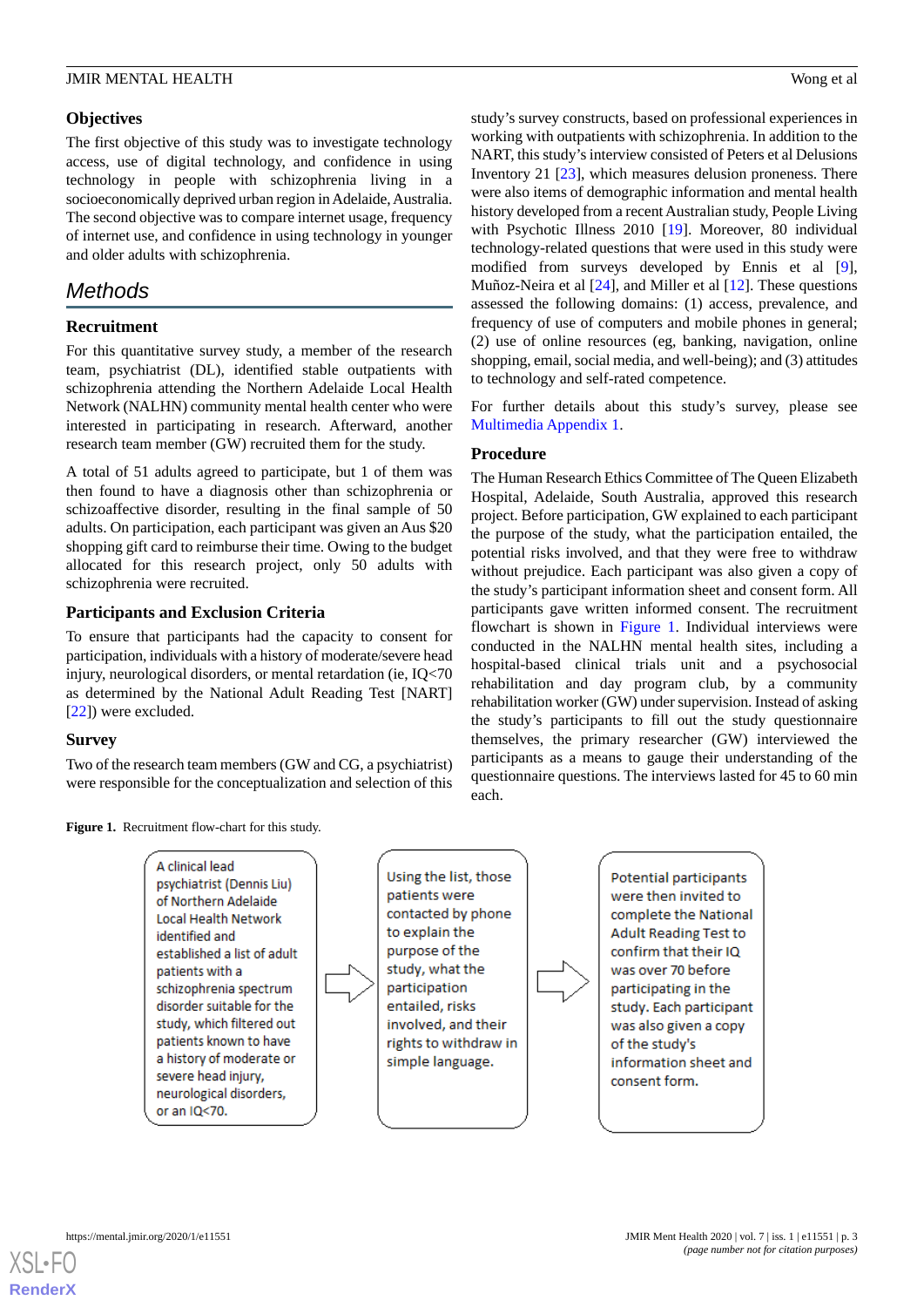### **Objectives**

The first objective of this study was to investigate technology access, use of digital technology, and confidence in using technology in people with schizophrenia living in a socioeconomically deprived urban region in Adelaide, Australia. The second objective was to compare internet usage, frequency of internet use, and confidence in using technology in younger and older adults with schizophrenia.

### *Methods*

### **Recruitment**

For this quantitative survey study, a member of the research team, psychiatrist (DL), identified stable outpatients with schizophrenia attending the Northern Adelaide Local Health Network (NALHN) community mental health center who were interested in participating in research. Afterward, another research team member (GW) recruited them for the study.

A total of 51 adults agreed to participate, but 1 of them was then found to have a diagnosis other than schizophrenia or schizoaffective disorder, resulting in the final sample of 50 adults. On participation, each participant was given an Aus \$20 shopping gift card to reimburse their time. Owing to the budget allocated for this research project, only 50 adults with schizophrenia were recruited.

### **Participants and Exclusion Criteria**

To ensure that participants had the capacity to consent for participation, individuals with a history of moderate/severe head injury, neurological disorders, or mental retardation (ie, IQ<70 as determined by the National Adult Reading Test [NART] [[22\]](#page-8-14)) were excluded.

### <span id="page-2-0"></span>**Survey**

Two of the research team members (GW and CG, a psychiatrist) were responsible for the conceptualization and selection of this study's survey constructs, based on professional experiences in working with outpatients with schizophrenia. In addition to the NART, this study's interview consisted of Peters et al Delusions Inventory 21 [\[23](#page-8-15)], which measures delusion proneness. There were also items of demographic information and mental health history developed from a recent Australian study, People Living with Psychotic Illness 2010 [\[19](#page-8-11)]. Moreover, 80 individual technology-related questions that were used in this study were modified from surveys developed by Ennis et al [[9\]](#page-8-1), Muñoz-Neira et al [\[24](#page-8-16)], and Miller et al [\[12](#page-8-4)]. These questions assessed the following domains: (1) access, prevalence, and frequency of use of computers and mobile phones in general; (2) use of online resources (eg, banking, navigation, online shopping, email, social media, and well-being); and (3) attitudes to technology and self-rated competence.

For further details about this study's survey, please see [Multimedia Appendix 1](#page-7-7).

### **Procedure**

The Human Research Ethics Committee of The Queen Elizabeth Hospital, Adelaide, South Australia, approved this research project. Before participation, GW explained to each participant the purpose of the study, what the participation entailed, the potential risks involved, and that they were free to withdraw without prejudice. Each participant was also given a copy of the study's participant information sheet and consent form. All participants gave written informed consent. The recruitment flowchart is shown in [Figure 1](#page-2-0). Individual interviews were conducted in the NALHN mental health sites, including a hospital-based clinical trials unit and a psychosocial rehabilitation and day program club, by a community rehabilitation worker (GW) under supervision. Instead of asking the study's participants to fill out the study questionnaire themselves, the primary researcher (GW) interviewed the participants as a means to gauge their understanding of the questionnaire questions. The interviews lasted for 45 to 60 min each.

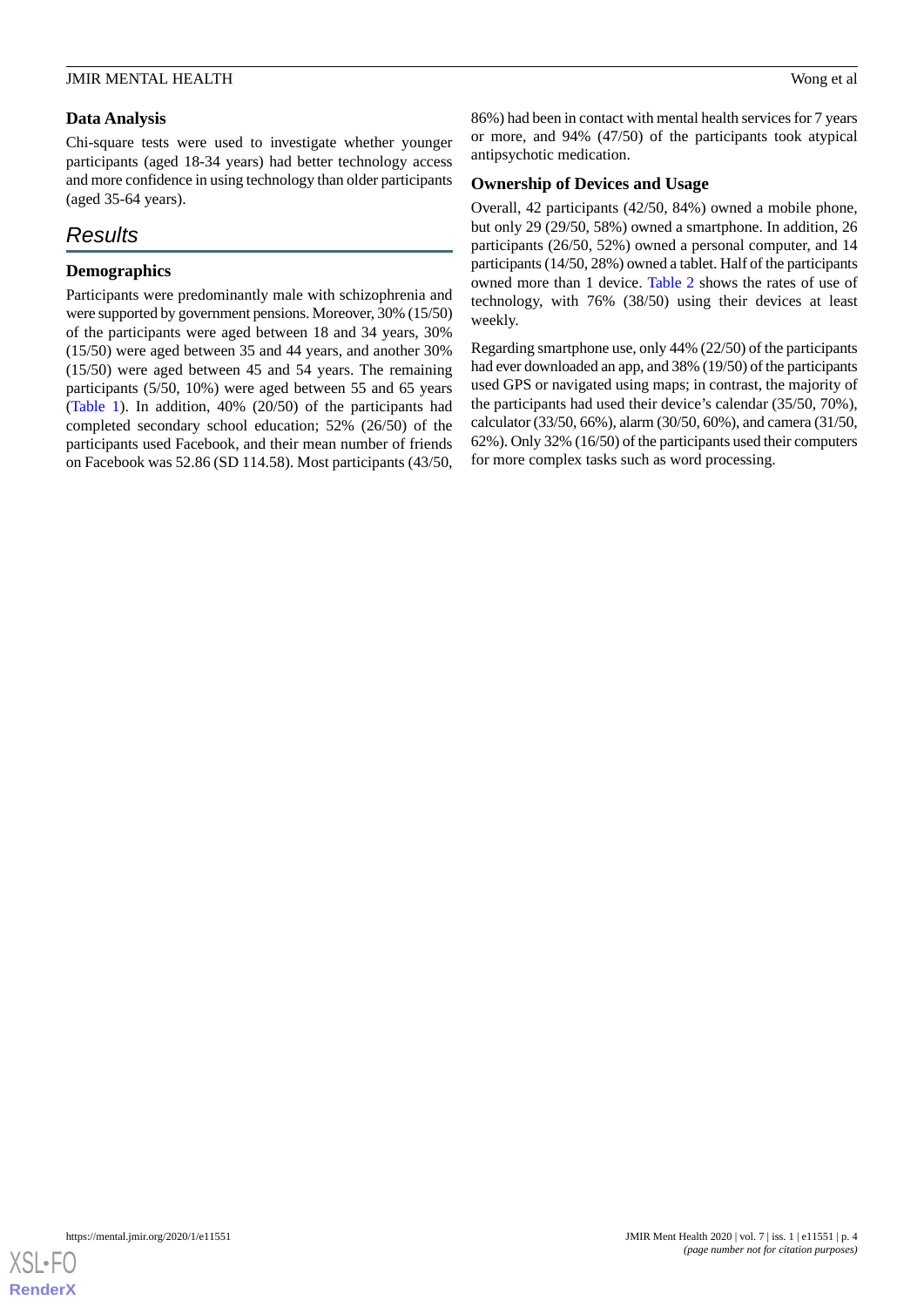### **Data Analysis**

Chi-square tests were used to investigate whether younger participants (aged 18-34 years) had better technology access and more confidence in using technology than older participants (aged 35-64 years).

## *Results*

### **Demographics**

Participants were predominantly male with schizophrenia and were supported by government pensions. Moreover, 30% (15/50) of the participants were aged between 18 and 34 years, 30% (15/50) were aged between 35 and 44 years, and another 30% (15/50) were aged between 45 and 54 years. The remaining participants (5/50, 10%) were aged between 55 and 65 years ([Table 1](#page-4-0)). In addition, 40% (20/50) of the participants had completed secondary school education; 52% (26/50) of the participants used Facebook, and their mean number of friends on Facebook was 52.86 (SD 114.58). Most participants (43/50, 86%) had been in contact with mental health services for 7 years or more, and 94% (47/50) of the participants took atypical antipsychotic medication.

### **Ownership of Devices and Usage**

Overall, 42 participants (42/50, 84%) owned a mobile phone, but only 29 (29/50, 58%) owned a smartphone. In addition, 26 participants (26/50, 52%) owned a personal computer, and 14 participants (14/50, 28%) owned a tablet. Half of the participants owned more than 1 device. [Table 2](#page-5-0) shows the rates of use of technology, with 76% (38/50) using their devices at least weekly.

Regarding smartphone use, only 44% (22/50) of the participants had ever downloaded an app, and 38% (19/50) of the participants used GPS or navigated using maps; in contrast, the majority of the participants had used their device's calendar (35/50, 70%), calculator (33/50, 66%), alarm (30/50, 60%), and camera (31/50, 62%). Only 32% (16/50) of the participants used their computers for more complex tasks such as word processing.

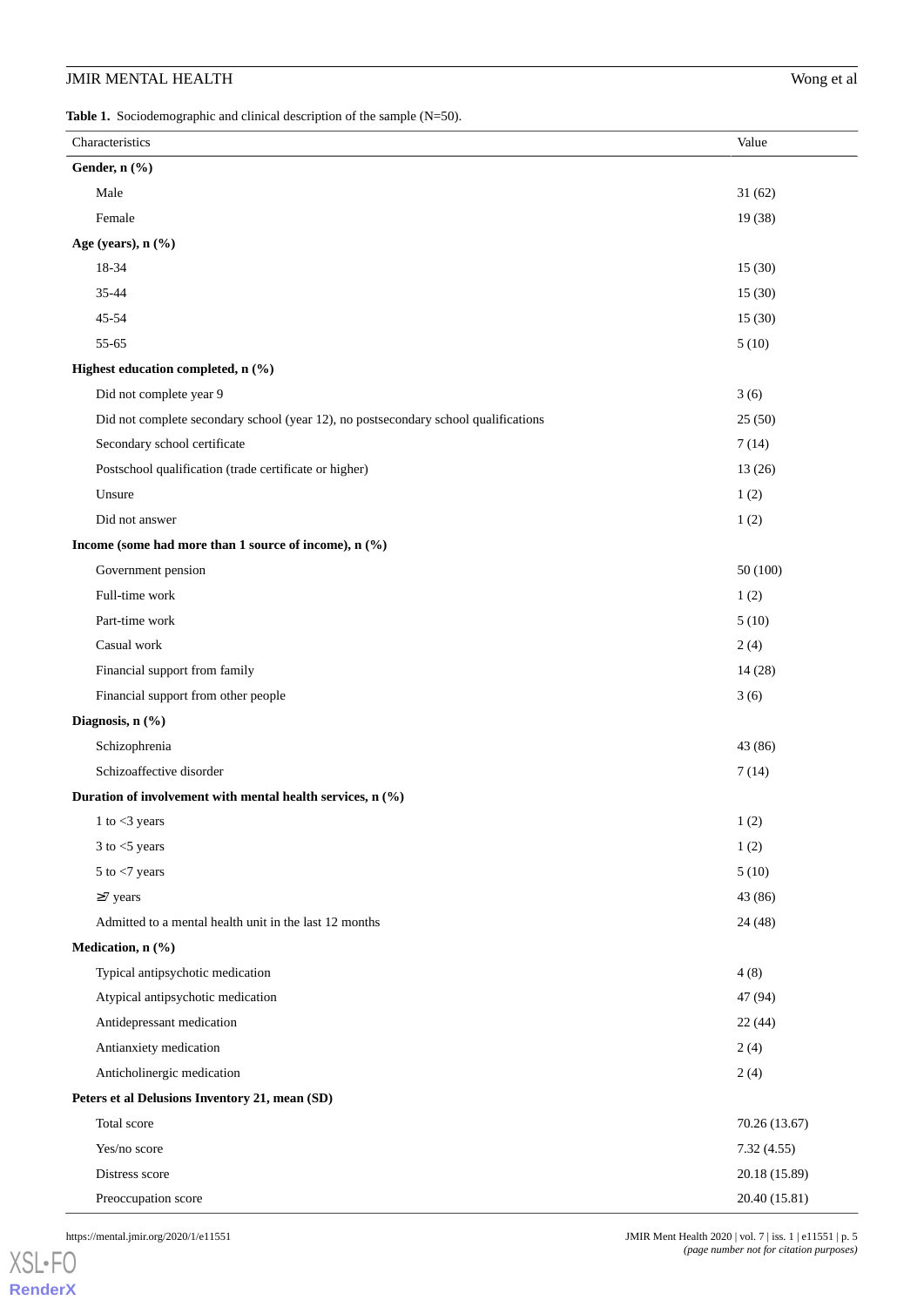<span id="page-4-0"></span>Table 1. Sociodemographic and clinical description of the sample (N=50).

| Characteristics                                                                     | Value         |
|-------------------------------------------------------------------------------------|---------------|
| Gender, n (%)                                                                       |               |
| Male                                                                                | 31(62)        |
| Female                                                                              | 19 (38)       |
| Age (years), n (%)                                                                  |               |
| 18-34                                                                               | 15(30)        |
| 35-44                                                                               | 15(30)        |
| 45-54                                                                               | 15(30)        |
| 55-65                                                                               | 5(10)         |
| Highest education completed, n (%)                                                  |               |
| Did not complete year 9                                                             | 3(6)          |
| Did not complete secondary school (year 12), no postsecondary school qualifications | 25(50)        |
| Secondary school certificate                                                        | 7(14)         |
| Postschool qualification (trade certificate or higher)                              | 13(26)        |
| Unsure                                                                              | 1(2)          |
| Did not answer                                                                      | 1(2)          |
| Income (some had more than 1 source of income), n (%)                               |               |
| Government pension                                                                  | 50(100)       |
| Full-time work                                                                      | 1(2)          |
| Part-time work                                                                      | 5(10)         |
| Casual work                                                                         | 2(4)          |
| Financial support from family                                                       | 14(28)        |
| Financial support from other people                                                 | 3(6)          |
| Diagnosis, n (%)                                                                    |               |
| Schizophrenia                                                                       | 43 (86)       |
| Schizoaffective disorder                                                            | 7(14)         |
| Duration of involvement with mental health services, n (%)                          |               |
| 1 to $<$ 3 years                                                                    | $1\ (2)$      |
| $3$ to $<$ 5 years                                                                  | 1(2)          |
| $5$ to $<$ 7 years                                                                  | 5(10)         |
| $\geq$ 7 years                                                                      | 43 (86)       |
| Admitted to a mental health unit in the last 12 months                              | 24 (48)       |
| Medication, n (%)                                                                   |               |
| Typical antipsychotic medication                                                    | 4(8)          |
| Atypical antipsychotic medication                                                   | 47 (94)       |
| Antidepressant medication                                                           | 22(44)        |
| Antianxiety medication                                                              | 2(4)          |
| Anticholinergic medication                                                          | 2(4)          |
| Peters et al Delusions Inventory 21, mean (SD)                                      |               |
| Total score                                                                         | 70.26(13.67)  |
| Yes/no score                                                                        | 7.32(4.55)    |
| Distress score                                                                      | 20.18 (15.89) |
| Preoccupation score                                                                 | 20.40 (15.81) |

[XSL](http://www.w3.org/Style/XSL)•FO **[RenderX](http://www.renderx.com/)**

https://mental.jmir.org/2020/1/e11551 | p. 5 *(page number not for citation purposes)*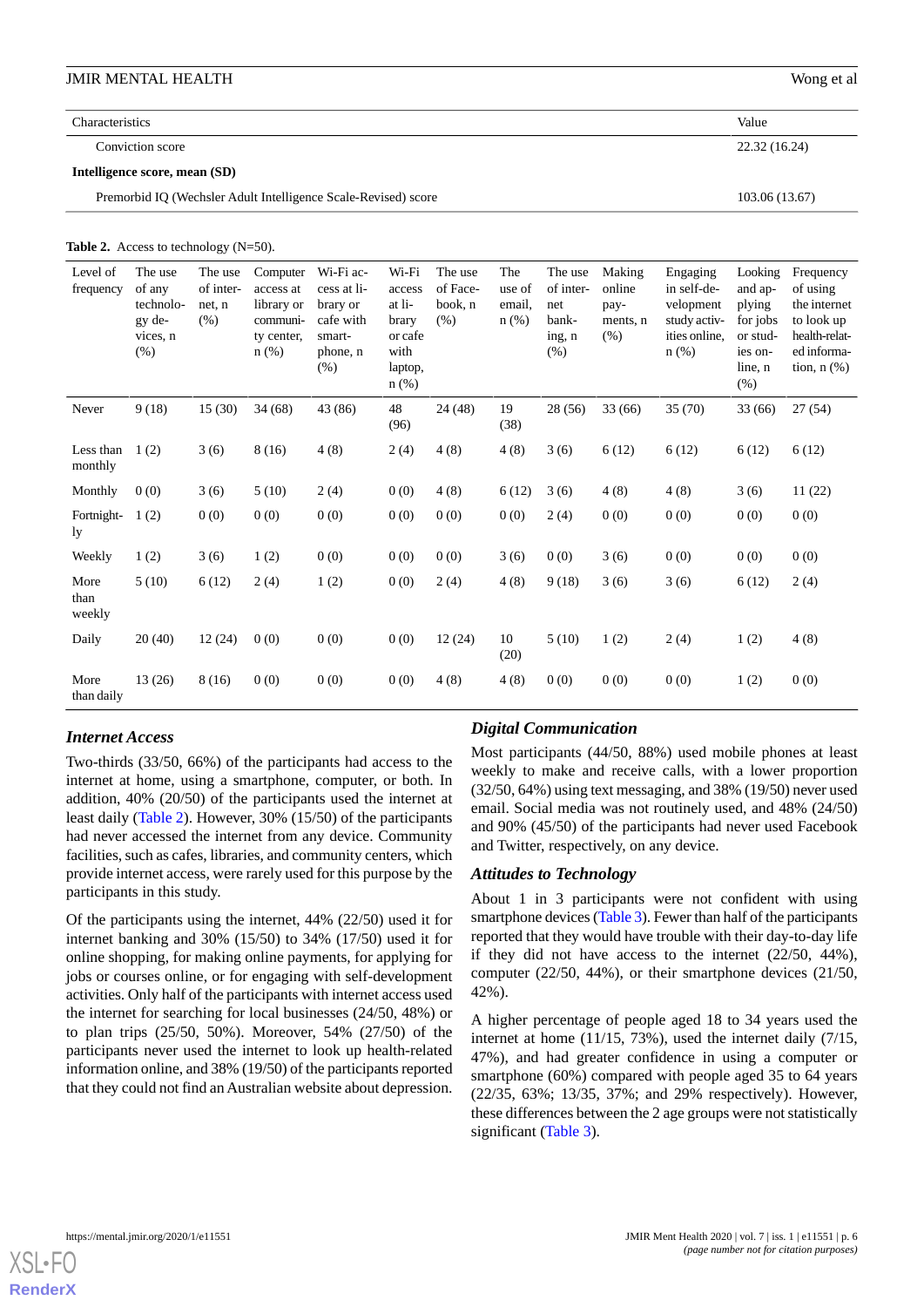### **Characteristics** Value

Conviction score 22.32 (16.24)

#### **Intelligence score, mean (SD)**

Premorbid IQ (Wechsler Adult Intelligence Scale-Revised) score 103.06 (13.67)

<span id="page-5-0"></span>Table 2. Access to technology (N=50).

| Level of<br>frequency  | The use<br>of any<br>technolo-<br>gy de-<br>vices, n<br>(% ) | The use<br>of inter-<br>net, n<br>(% ) | Computer<br>access at<br>library or<br>communi-<br>ty center,<br>$n$ (%) | Wi-Fi ac-<br>cess at li-<br>brary or<br>cafe with<br>smart-<br>phone, n<br>(% ) | Wi-Fi<br>access<br>at li-<br>brary<br>or cafe<br>with<br>laptop,<br>n(%) | The use<br>of Face-<br>book, n<br>(% ) | The<br>use of<br>email,<br>$n$ (%) | The use<br>of inter-<br>net<br>bank-<br>ing, n<br>(% ) | Making<br>online<br>pay-<br>ments, n<br>(% ) | Engaging<br>in self-de-<br>velopment<br>study activ-<br>ities online.<br>$n$ (%) | Looking<br>and ap-<br>plying<br>for jobs<br>or stud-<br>ies on-<br>line, n<br>(% ) | Frequency<br>of using<br>the internet<br>to look up<br>health-relat-<br>ed informa-<br>tion, $n$ $(\%)$ |
|------------------------|--------------------------------------------------------------|----------------------------------------|--------------------------------------------------------------------------|---------------------------------------------------------------------------------|--------------------------------------------------------------------------|----------------------------------------|------------------------------------|--------------------------------------------------------|----------------------------------------------|----------------------------------------------------------------------------------|------------------------------------------------------------------------------------|---------------------------------------------------------------------------------------------------------|
| Never                  | 9(18)                                                        | 15(30)                                 | 34(68)                                                                   | 43 (86)                                                                         | 48<br>(96)                                                               | 24 (48)                                | 19<br>(38)                         | 28 (56)                                                | 33 (66)                                      | 35(70)                                                                           | 33 (66)                                                                            | 27(54)                                                                                                  |
| Less than<br>monthly   | 1(2)                                                         | 3(6)                                   | 8(16)                                                                    | 4(8)                                                                            | 2(4)                                                                     | 4(8)                                   | 4(8)                               | 3(6)                                                   | 6(12)                                        | 6(12)                                                                            | 6(12)                                                                              | 6(12)                                                                                                   |
| Monthly                | 0(0)                                                         | 3(6)                                   | 5(10)                                                                    | 2(4)                                                                            | 0(0)                                                                     | 4(8)                                   | 6(12)                              | 3(6)                                                   | 4(8)                                         | 4(8)                                                                             | 3(6)                                                                               | 11(22)                                                                                                  |
| Fortnight-<br>1y       | 1(2)                                                         | 0(0)                                   | 0(0)                                                                     | 0(0)                                                                            | 0(0)                                                                     | 0(0)                                   | 0(0)                               | 2(4)                                                   | 0(0)                                         | 0(0)                                                                             | 0(0)                                                                               | 0(0)                                                                                                    |
| Weekly                 | 1(2)                                                         | 3(6)                                   | 1(2)                                                                     | 0(0)                                                                            | 0(0)                                                                     | 0(0)                                   | 3(6)                               | 0(0)                                                   | 3(6)                                         | 0(0)                                                                             | 0(0)                                                                               | 0(0)                                                                                                    |
| More<br>than<br>weekly | 5(10)                                                        | 6(12)                                  | 2(4)                                                                     | 1(2)                                                                            | 0(0)                                                                     | 2(4)                                   | 4(8)                               | 9(18)                                                  | 3(6)                                         | 3(6)                                                                             | 6(12)                                                                              | 2(4)                                                                                                    |
| Daily                  | 20(40)                                                       | 12(24)                                 | 0(0)                                                                     | 0(0)                                                                            | 0(0)                                                                     | 12(24)                                 | 10<br>(20)                         | 5(10)                                                  | 1(2)                                         | 2(4)                                                                             | 1(2)                                                                               | 4(8)                                                                                                    |
| More<br>than daily     | 13(26)                                                       | 8 (16)                                 | 0(0)                                                                     | 0(0)                                                                            | 0(0)                                                                     | 4(8)                                   | 4(8)                               | 0(0)                                                   | 0(0)                                         | 0(0)                                                                             | 1(2)                                                                               | 0(0)                                                                                                    |

### *Internet Access*

Two-thirds (33/50, 66%) of the participants had access to the internet at home, using a smartphone, computer, or both. In addition, 40% (20/50) of the participants used the internet at least daily ([Table 2](#page-5-0)). However, 30% (15/50) of the participants had never accessed the internet from any device. Community facilities, such as cafes, libraries, and community centers, which provide internet access, were rarely used for this purpose by the participants in this study.

Of the participants using the internet, 44% (22/50) used it for internet banking and 30% (15/50) to 34% (17/50) used it for online shopping, for making online payments, for applying for jobs or courses online, or for engaging with self-development activities. Only half of the participants with internet access used the internet for searching for local businesses (24/50, 48%) or to plan trips (25/50, 50%). Moreover, 54% (27/50) of the participants never used the internet to look up health-related information online, and 38% (19/50) of the participants reported that they could not find an Australian website about depression.

### *Digital Communication*

Most participants (44/50, 88%) used mobile phones at least weekly to make and receive calls, with a lower proportion (32/50, 64%) using text messaging, and 38% (19/50) never used email. Social media was not routinely used, and 48% (24/50) and 90% (45/50) of the participants had never used Facebook and Twitter, respectively, on any device.

### *Attitudes to Technology*

About 1 in 3 participants were not confident with using smartphone devices ([Table 3\)](#page-6-0). Fewer than half of the participants reported that they would have trouble with their day-to-day life if they did not have access to the internet (22/50, 44%), computer (22/50, 44%), or their smartphone devices (21/50, 42%).

A higher percentage of people aged 18 to 34 years used the internet at home (11/15, 73%), used the internet daily (7/15, 47%), and had greater confidence in using a computer or smartphone (60%) compared with people aged 35 to 64 years (22/35, 63%; 13/35, 37%; and 29% respectively). However, these differences between the 2 age groups were not statistically significant ([Table 3\)](#page-6-0).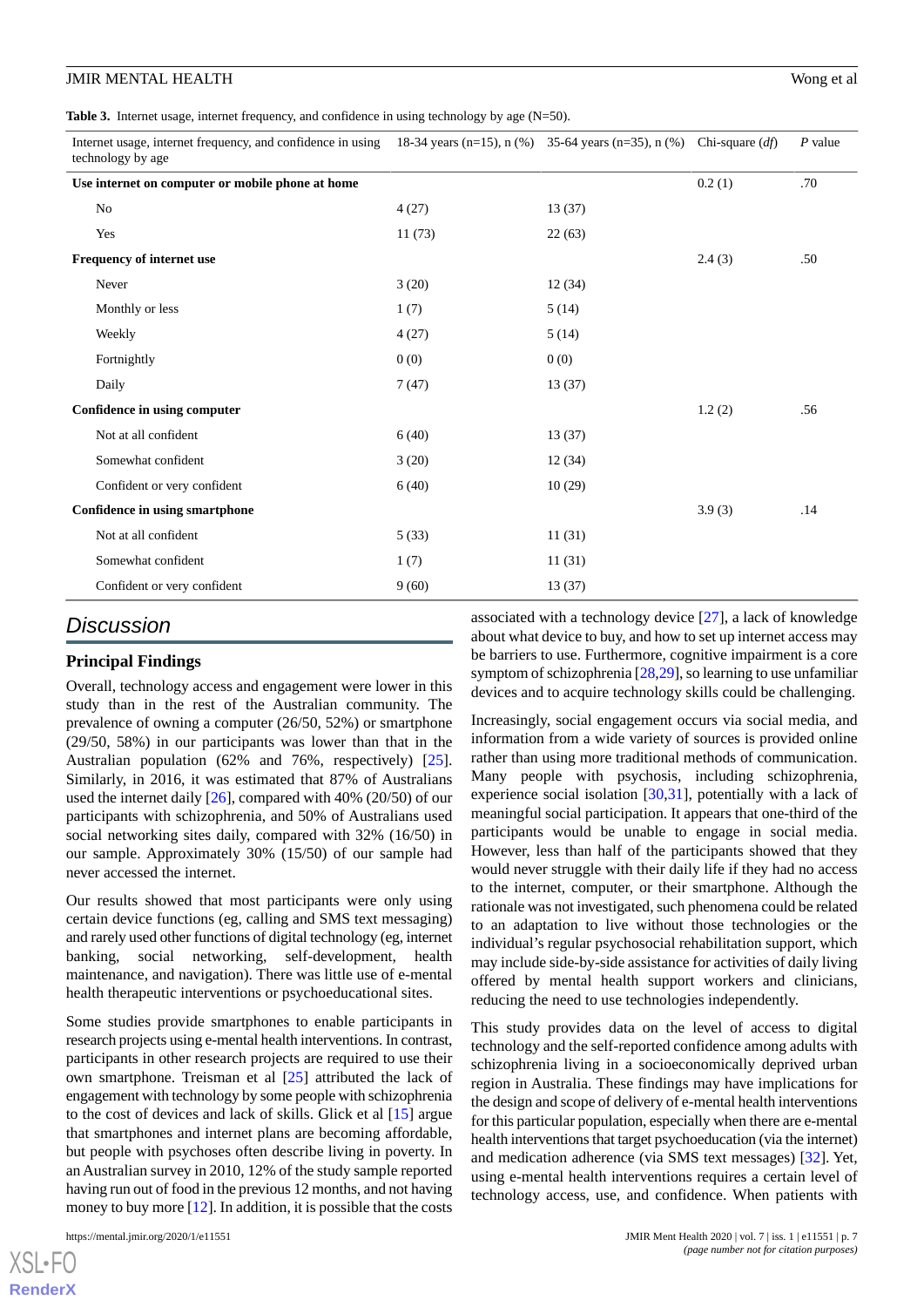<span id="page-6-0"></span>**Table 3.** Internet usage, internet frequency, and confidence in using technology by age (N=50).

| Internet usage, internet frequency, and confidence in using 18-34 years (n=15), n (%) 35-64 years (n=35), n (%) Chi-square (df)<br>technology by age |        |        |        | $P$ value |
|------------------------------------------------------------------------------------------------------------------------------------------------------|--------|--------|--------|-----------|
| Use internet on computer or mobile phone at home                                                                                                     |        |        | 0.2(1) | .70       |
| No                                                                                                                                                   | 4(27)  | 13(37) |        |           |
| Yes                                                                                                                                                  | 11(73) | 22(63) |        |           |
| Frequency of internet use                                                                                                                            |        |        | 2.4(3) | .50       |
| Never                                                                                                                                                | 3(20)  | 12(34) |        |           |
| Monthly or less                                                                                                                                      | 1(7)   | 5(14)  |        |           |
| Weekly                                                                                                                                               | 4(27)  | 5(14)  |        |           |
| Fortnightly                                                                                                                                          | 0(0)   | 0(0)   |        |           |
| Daily                                                                                                                                                | 7(47)  | 13(37) |        |           |
| Confidence in using computer                                                                                                                         |        |        | 1.2(2) | .56       |
| Not at all confident                                                                                                                                 | 6(40)  | 13(37) |        |           |
| Somewhat confident                                                                                                                                   | 3(20)  | 12(34) |        |           |
| Confident or very confident                                                                                                                          | 6(40)  | 10(29) |        |           |
| Confidence in using smartphone                                                                                                                       |        |        | 3.9(3) | .14       |
| Not at all confident                                                                                                                                 | 5(33)  | 11(31) |        |           |
| Somewhat confident                                                                                                                                   | 1(7)   | 11(31) |        |           |
| Confident or very confident                                                                                                                          | 9(60)  | 13(37) |        |           |

### *Discussion*

### **Principal Findings**

Overall, technology access and engagement were lower in this study than in the rest of the Australian community. The prevalence of owning a computer (26/50, 52%) or smartphone (29/50, 58%) in our participants was lower than that in the Australian population (62% and 76%, respectively) [[25\]](#page-8-17). Similarly, in 2016, it was estimated that 87% of Australians used the internet daily [[26\]](#page-8-18), compared with 40% (20/50) of our participants with schizophrenia, and 50% of Australians used social networking sites daily, compared with 32% (16/50) in our sample. Approximately 30% (15/50) of our sample had never accessed the internet.

Our results showed that most participants were only using certain device functions (eg, calling and SMS text messaging) and rarely used other functions of digital technology (eg, internet banking, social networking, self-development, health maintenance, and navigation). There was little use of e-mental health therapeutic interventions or psychoeducational sites.

Some studies provide smartphones to enable participants in research projects using e-mental health interventions. In contrast, participants in other research projects are required to use their own smartphone. Treisman et al [[25\]](#page-8-17) attributed the lack of engagement with technology by some people with schizophrenia to the cost of devices and lack of skills. Glick et al [[15\]](#page-8-7) argue that smartphones and internet plans are becoming affordable, but people with psychoses often describe living in poverty. In an Australian survey in 2010, 12% of the study sample reported having run out of food in the previous 12 months, and not having money to buy more  $[12]$  $[12]$ . In addition, it is possible that the costs

 $XS$  • FO **[RenderX](http://www.renderx.com/)** associated with a technology device [[27\]](#page-8-19), a lack of knowledge about what device to buy, and how to set up internet access may be barriers to use. Furthermore, cognitive impairment is a core symptom of schizophrenia [\[28](#page-8-20),[29\]](#page-8-21), so learning to use unfamiliar devices and to acquire technology skills could be challenging.

Increasingly, social engagement occurs via social media, and information from a wide variety of sources is provided online rather than using more traditional methods of communication. Many people with psychosis, including schizophrenia, experience social isolation  $[30,31]$  $[30,31]$  $[30,31]$  $[30,31]$ , potentially with a lack of meaningful social participation. It appears that one-third of the participants would be unable to engage in social media. However, less than half of the participants showed that they would never struggle with their daily life if they had no access to the internet, computer, or their smartphone. Although the rationale was not investigated, such phenomena could be related to an adaptation to live without those technologies or the individual's regular psychosocial rehabilitation support, which may include side-by-side assistance for activities of daily living offered by mental health support workers and clinicians, reducing the need to use technologies independently.

This study provides data on the level of access to digital technology and the self-reported confidence among adults with schizophrenia living in a socioeconomically deprived urban region in Australia. These findings may have implications for the design and scope of delivery of e-mental health interventions for this particular population, especially when there are e-mental health interventions that target psychoeducation (via the internet) and medication adherence (via SMS text messages) [[32\]](#page-9-2). Yet, using e-mental health interventions requires a certain level of technology access, use, and confidence. When patients with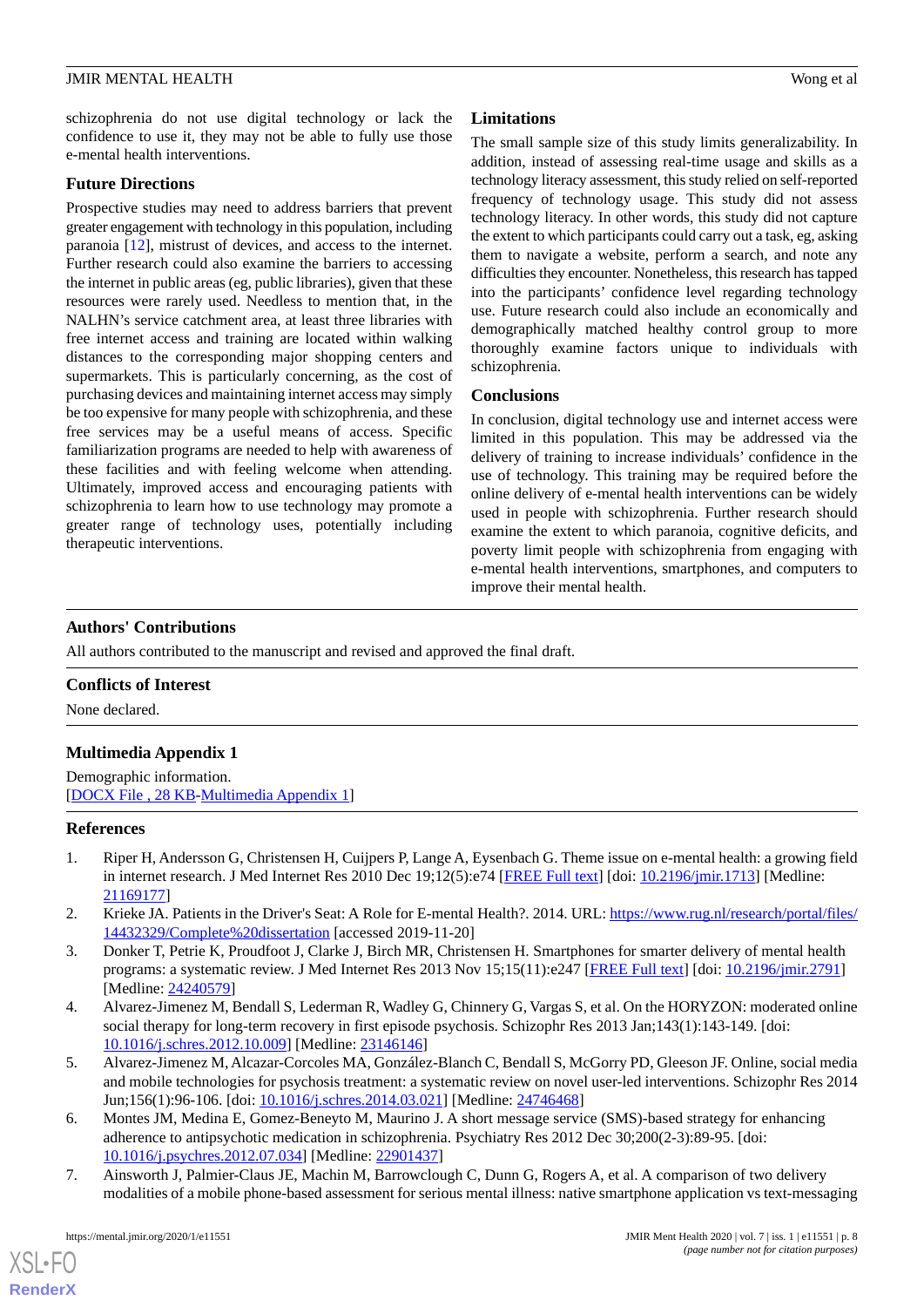schizophrenia do not use digital technology or lack the confidence to use it, they may not be able to fully use those e-mental health interventions.

### **Future Directions**

Prospective studies may need to address barriers that prevent greater engagement with technology in this population, including paranoia [[12\]](#page-8-4), mistrust of devices, and access to the internet. Further research could also examine the barriers to accessing the internet in public areas (eg, public libraries), given that these resources were rarely used. Needless to mention that, in the NALHN's service catchment area, at least three libraries with free internet access and training are located within walking distances to the corresponding major shopping centers and supermarkets. This is particularly concerning, as the cost of purchasing devices and maintaining internet access may simply be too expensive for many people with schizophrenia, and these free services may be a useful means of access. Specific familiarization programs are needed to help with awareness of these facilities and with feeling welcome when attending. Ultimately, improved access and encouraging patients with schizophrenia to learn how to use technology may promote a greater range of technology uses, potentially including therapeutic interventions.

### **Limitations**

The small sample size of this study limits generalizability. In addition, instead of assessing real-time usage and skills as a technology literacy assessment, this study relied on self-reported frequency of technology usage. This study did not assess technology literacy. In other words, this study did not capture the extent to which participants could carry out a task, eg, asking them to navigate a website, perform a search, and note any difficulties they encounter. Nonetheless, this research has tapped into the participants' confidence level regarding technology use. Future research could also include an economically and demographically matched healthy control group to more thoroughly examine factors unique to individuals with schizophrenia.

### **Conclusions**

In conclusion, digital technology use and internet access were limited in this population. This may be addressed via the delivery of training to increase individuals' confidence in the use of technology. This training may be required before the online delivery of e-mental health interventions can be widely used in people with schizophrenia. Further research should examine the extent to which paranoia, cognitive deficits, and poverty limit people with schizophrenia from engaging with e-mental health interventions, smartphones, and computers to improve their mental health.

### **Authors' Contributions**

All authors contributed to the manuscript and revised and approved the final draft.

### <span id="page-7-7"></span>**Conflicts of Interest**

None declared.

### **Multimedia Appendix 1**

<span id="page-7-0"></span>Demographic information. [[DOCX File , 28 KB](https://jmir.org/api/download?alt_name=mental_v7i1e11551_app1.docx&filename=31568b71ad5523432bcff3da53186616.docx)-[Multimedia Appendix 1](https://jmir.org/api/download?alt_name=mental_v7i1e11551_app1.docx&filename=31568b71ad5523432bcff3da53186616.docx)]

### <span id="page-7-1"></span>**References**

- <span id="page-7-2"></span>1. Riper H, Andersson G, Christensen H, Cuijpers P, Lange A, Eysenbach G. Theme issue on e-mental health: a growing field in internet research. J Med Internet Res 2010 Dec 19;12(5):e74 [\[FREE Full text\]](https://www.jmir.org/2010/5/e74/) [doi: [10.2196/jmir.1713\]](http://dx.doi.org/10.2196/jmir.1713) [Medline: [21169177](http://www.ncbi.nlm.nih.gov/entrez/query.fcgi?cmd=Retrieve&db=PubMed&list_uids=21169177&dopt=Abstract)]
- <span id="page-7-3"></span>2. Krieke JA. Patients in the Driver's Seat: A Role for E-mental Health?. 2014. URL: [https://www.rug.nl/research/portal/files/](https://www.rug.nl/research/portal/files/14432329/Complete%20dissertation) [14432329/Complete%20dissertation](https://www.rug.nl/research/portal/files/14432329/Complete%20dissertation) [accessed 2019-11-20]
- <span id="page-7-4"></span>3. Donker T, Petrie K, Proudfoot J, Clarke J, Birch MR, Christensen H. Smartphones for smarter delivery of mental health programs: a systematic review. J Med Internet Res 2013 Nov 15;15(11):e247 [\[FREE Full text\]](https://www.jmir.org/2013/11/e247/) [doi: [10.2196/jmir.2791\]](http://dx.doi.org/10.2196/jmir.2791) [Medline: [24240579](http://www.ncbi.nlm.nih.gov/entrez/query.fcgi?cmd=Retrieve&db=PubMed&list_uids=24240579&dopt=Abstract)]
- <span id="page-7-5"></span>4. Alvarez-Jimenez M, Bendall S, Lederman R, Wadley G, Chinnery G, Vargas S, et al. On the HORYZON: moderated online social therapy for long-term recovery in first episode psychosis. Schizophr Res 2013 Jan;143(1):143-149. [doi: [10.1016/j.schres.2012.10.009\]](http://dx.doi.org/10.1016/j.schres.2012.10.009) [Medline: [23146146](http://www.ncbi.nlm.nih.gov/entrez/query.fcgi?cmd=Retrieve&db=PubMed&list_uids=23146146&dopt=Abstract)]
- <span id="page-7-6"></span>5. Alvarez-Jimenez M, Alcazar-Corcoles MA, González-Blanch C, Bendall S, McGorry PD, Gleeson JF. Online, social media and mobile technologies for psychosis treatment: a systematic review on novel user-led interventions. Schizophr Res 2014 Jun;156(1):96-106. [doi: [10.1016/j.schres.2014.03.021](http://dx.doi.org/10.1016/j.schres.2014.03.021)] [Medline: [24746468](http://www.ncbi.nlm.nih.gov/entrez/query.fcgi?cmd=Retrieve&db=PubMed&list_uids=24746468&dopt=Abstract)]
- 6. Montes JM, Medina E, Gomez-Beneyto M, Maurino J. A short message service (SMS)-based strategy for enhancing adherence to antipsychotic medication in schizophrenia. Psychiatry Res 2012 Dec 30;200(2-3):89-95. [doi: [10.1016/j.psychres.2012.07.034\]](http://dx.doi.org/10.1016/j.psychres.2012.07.034) [Medline: [22901437](http://www.ncbi.nlm.nih.gov/entrez/query.fcgi?cmd=Retrieve&db=PubMed&list_uids=22901437&dopt=Abstract)]
- 7. Ainsworth J, Palmier-Claus JE, Machin M, Barrowclough C, Dunn G, Rogers A, et al. A comparison of two delivery modalities of a mobile phone-based assessment for serious mental illness: native smartphone application vs text-messaging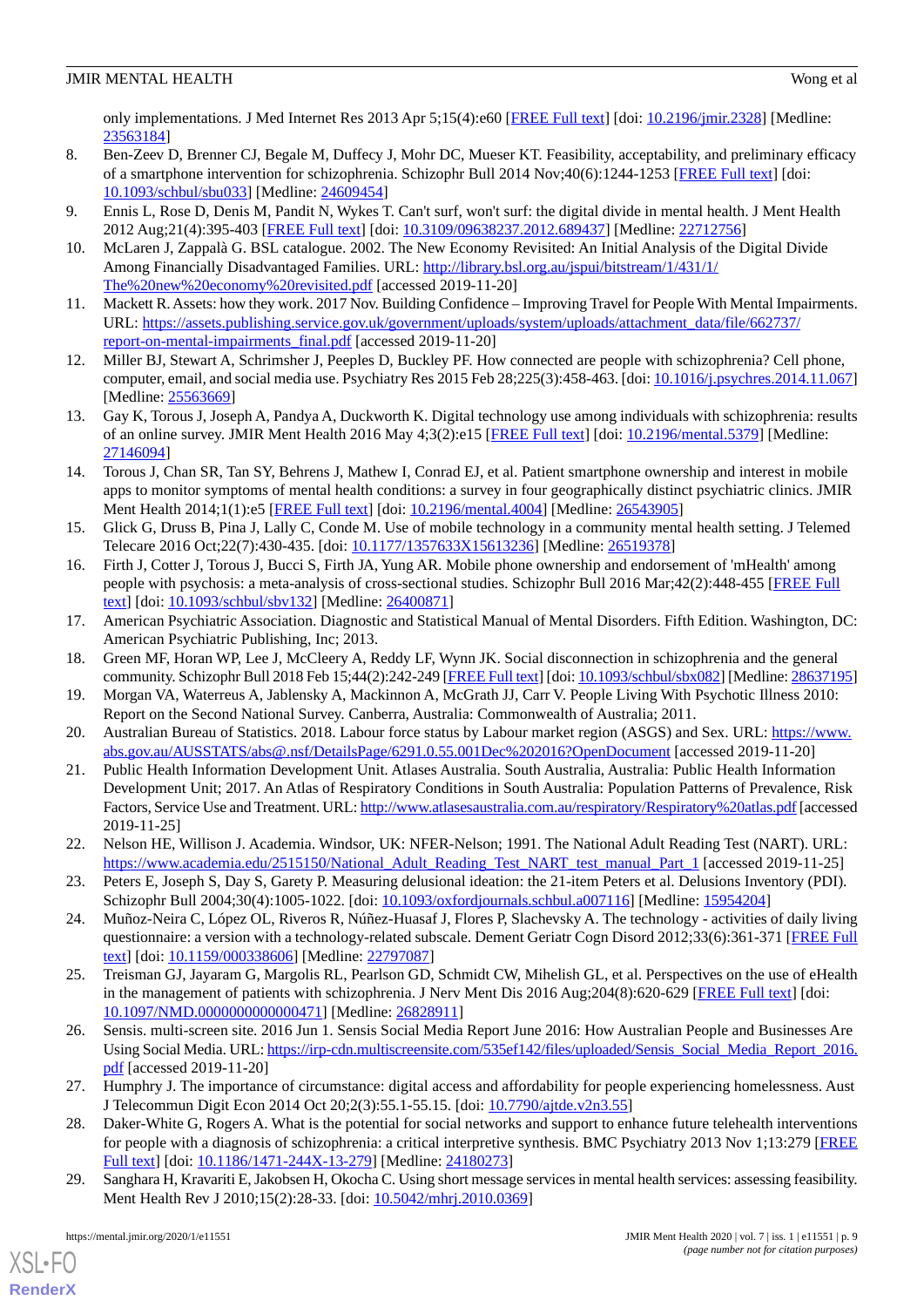only implementations. J Med Internet Res 2013 Apr 5;15(4):e60 [\[FREE Full text\]](https://www.jmir.org/2013/4/e60/) [doi: [10.2196/jmir.2328\]](http://dx.doi.org/10.2196/jmir.2328) [Medline: [23563184](http://www.ncbi.nlm.nih.gov/entrez/query.fcgi?cmd=Retrieve&db=PubMed&list_uids=23563184&dopt=Abstract)]

- <span id="page-8-0"></span>8. Ben-Zeev D, Brenner CJ, Begale M, Duffecy J, Mohr DC, Mueser KT. Feasibility, acceptability, and preliminary efficacy of a smartphone intervention for schizophrenia. Schizophr Bull 2014 Nov;40(6):1244-1253 [[FREE Full text\]](http://europepmc.org/abstract/MED/24609454) [doi: [10.1093/schbul/sbu033](http://dx.doi.org/10.1093/schbul/sbu033)] [Medline: [24609454\]](http://www.ncbi.nlm.nih.gov/entrez/query.fcgi?cmd=Retrieve&db=PubMed&list_uids=24609454&dopt=Abstract)
- <span id="page-8-2"></span><span id="page-8-1"></span>9. Ennis L, Rose D, Denis M, Pandit N, Wykes T. Can't surf, won't surf: the digital divide in mental health. J Ment Health 2012 Aug;21(4):395-403 [\[FREE Full text](http://europepmc.org/abstract/MED/22712756)] [doi: [10.3109/09638237.2012.689437\]](http://dx.doi.org/10.3109/09638237.2012.689437) [Medline: [22712756\]](http://www.ncbi.nlm.nih.gov/entrez/query.fcgi?cmd=Retrieve&db=PubMed&list_uids=22712756&dopt=Abstract)
- 10. McLaren J, Zappalà G. BSL catalogue. 2002. The New Economy Revisited: An Initial Analysis of the Digital Divide Among Financially Disadvantaged Families. URL: [http://library.bsl.org.au/jspui/bitstream/1/431/1/](http://library.bsl.org.au/jspui/bitstream/1/431/1/The%20new%20economy%20revisited.pdf) [The%20new%20economy%20revisited.pdf](http://library.bsl.org.au/jspui/bitstream/1/431/1/The%20new%20economy%20revisited.pdf) [accessed 2019-11-20]
- <span id="page-8-4"></span><span id="page-8-3"></span>11. Mackett R. Assets: how they work. 2017 Nov. Building Confidence – Improving Travel for People With Mental Impairments. URL: [https://assets.publishing.service.gov.uk/government/uploads/system/uploads/attachment\\_data/file/662737/](https://assets.publishing.service.gov.uk/government/uploads/system/uploads/attachment_data/file/662737/report-on-mental-impairments_final.pdf) [report-on-mental-impairments\\_final.pdf](https://assets.publishing.service.gov.uk/government/uploads/system/uploads/attachment_data/file/662737/report-on-mental-impairments_final.pdf) [accessed 2019-11-20]
- <span id="page-8-5"></span>12. Miller BJ, Stewart A, Schrimsher J, Peeples D, Buckley PF. How connected are people with schizophrenia? Cell phone, computer, email, and social media use. Psychiatry Res 2015 Feb 28;225(3):458-463. [doi: [10.1016/j.psychres.2014.11.067](http://dx.doi.org/10.1016/j.psychres.2014.11.067)] [Medline: [25563669](http://www.ncbi.nlm.nih.gov/entrez/query.fcgi?cmd=Retrieve&db=PubMed&list_uids=25563669&dopt=Abstract)]
- <span id="page-8-6"></span>13. Gay K, Torous J, Joseph A, Pandya A, Duckworth K. Digital technology use among individuals with schizophrenia: results of an online survey. JMIR Ment Health 2016 May 4;3(2):e15 [\[FREE Full text\]](https://mental.jmir.org/2016/2/e15/) [doi: [10.2196/mental.5379](http://dx.doi.org/10.2196/mental.5379)] [Medline: [27146094](http://www.ncbi.nlm.nih.gov/entrez/query.fcgi?cmd=Retrieve&db=PubMed&list_uids=27146094&dopt=Abstract)]
- <span id="page-8-7"></span>14. Torous J, Chan SR, Tan SY, Behrens J, Mathew I, Conrad EJ, et al. Patient smartphone ownership and interest in mobile apps to monitor symptoms of mental health conditions: a survey in four geographically distinct psychiatric clinics. JMIR Ment Health 2014;1(1):e5 [[FREE Full text](https://mental.jmir.org/2014/1/e5/)] [doi: [10.2196/mental.4004](http://dx.doi.org/10.2196/mental.4004)] [Medline: [26543905](http://www.ncbi.nlm.nih.gov/entrez/query.fcgi?cmd=Retrieve&db=PubMed&list_uids=26543905&dopt=Abstract)]
- <span id="page-8-8"></span>15. Glick G, Druss B, Pina J, Lally C, Conde M. Use of mobile technology in a community mental health setting. J Telemed Telecare 2016 Oct;22(7):430-435. [doi: [10.1177/1357633X15613236](http://dx.doi.org/10.1177/1357633X15613236)] [Medline: [26519378\]](http://www.ncbi.nlm.nih.gov/entrez/query.fcgi?cmd=Retrieve&db=PubMed&list_uids=26519378&dopt=Abstract)
- <span id="page-8-9"></span>16. Firth J, Cotter J, Torous J, Bucci S, Firth JA, Yung AR. Mobile phone ownership and endorsement of 'mHealth' among people with psychosis: a meta-analysis of cross-sectional studies. Schizophr Bull 2016 Mar;42(2):448-455 [\[FREE Full](http://europepmc.org/abstract/MED/26400871) [text](http://europepmc.org/abstract/MED/26400871)] [doi: [10.1093/schbul/sbv132](http://dx.doi.org/10.1093/schbul/sbv132)] [Medline: [26400871](http://www.ncbi.nlm.nih.gov/entrez/query.fcgi?cmd=Retrieve&db=PubMed&list_uids=26400871&dopt=Abstract)]
- <span id="page-8-11"></span><span id="page-8-10"></span>17. American Psychiatric Association. Diagnostic and Statistical Manual of Mental Disorders. Fifth Edition. Washington, DC: American Psychiatric Publishing, Inc; 2013.
- <span id="page-8-12"></span>18. Green MF, Horan WP, Lee J, McCleery A, Reddy LF, Wynn JK. Social disconnection in schizophrenia and the general community. Schizophr Bull 2018 Feb 15;44(2):242-249 [[FREE Full text](http://europepmc.org/abstract/MED/28637195)] [doi: [10.1093/schbul/sbx082](http://dx.doi.org/10.1093/schbul/sbx082)] [Medline: [28637195\]](http://www.ncbi.nlm.nih.gov/entrez/query.fcgi?cmd=Retrieve&db=PubMed&list_uids=28637195&dopt=Abstract)
- <span id="page-8-13"></span>19. Morgan VA, Waterreus A, Jablensky A, Mackinnon A, McGrath JJ, Carr V. People Living With Psychotic Illness 2010: Report on the Second National Survey. Canberra, Australia: Commonwealth of Australia; 2011.
- 20. Australian Bureau of Statistics. 2018. Labour force status by Labour market region (ASGS) and Sex. URL: [https://www.](https://www.abs.gov.au/AUSSTATS/abs@.nsf/DetailsPage/6291.0.55.001Dec%202016?OpenDocument) [abs.gov.au/AUSSTATS/abs@.nsf/DetailsPage/6291.0.55.001Dec%202016?OpenDocument](https://www.abs.gov.au/AUSSTATS/abs@.nsf/DetailsPage/6291.0.55.001Dec%202016?OpenDocument) [accessed 2019-11-20]
- <span id="page-8-15"></span><span id="page-8-14"></span>21. Public Health Information Development Unit. Atlases Australia. South Australia, Australia: Public Health Information Development Unit; 2017. An Atlas of Respiratory Conditions in South Australia: Population Patterns of Prevalence, Risk Factors, Service Use and Treatment. URL:<http://www.atlasesaustralia.com.au/respiratory/Respiratory%20atlas.pdf> [accessed 2019-11-25]
- <span id="page-8-16"></span>22. Nelson HE, Willison J. Academia. Windsor, UK: NFER-Nelson; 1991. The National Adult Reading Test (NART). URL: [https://www.academia.edu/2515150/National\\_Adult\\_Reading\\_Test\\_NART\\_test\\_manual\\_Part\\_1](https://www.academia.edu/2515150/National_Adult_Reading_Test_NART_test_manual_Part_1) [accessed 2019-11-25]
- <span id="page-8-17"></span>23. Peters E, Joseph S, Day S, Garety P. Measuring delusional ideation: the 21-item Peters et al. Delusions Inventory (PDI). Schizophr Bull 2004;30(4):1005-1022. [doi: [10.1093/oxfordjournals.schbul.a007116\]](http://dx.doi.org/10.1093/oxfordjournals.schbul.a007116) [Medline: [15954204\]](http://www.ncbi.nlm.nih.gov/entrez/query.fcgi?cmd=Retrieve&db=PubMed&list_uids=15954204&dopt=Abstract)
- <span id="page-8-18"></span>24. Muñoz-Neira C, López OL, Riveros R, Núñez-Huasaf J, Flores P, Slachevsky A. The technology - activities of daily living questionnaire: a version with a technology-related subscale. Dement Geriatr Cogn Disord 2012;33(6):361-371 [[FREE Full](https://www.karger.com?DOI=10.1159/000338606) [text](https://www.karger.com?DOI=10.1159/000338606)] [doi: [10.1159/000338606\]](http://dx.doi.org/10.1159/000338606) [Medline: [22797087\]](http://www.ncbi.nlm.nih.gov/entrez/query.fcgi?cmd=Retrieve&db=PubMed&list_uids=22797087&dopt=Abstract)
- <span id="page-8-19"></span>25. Treisman GJ, Jayaram G, Margolis RL, Pearlson GD, Schmidt CW, Mihelish GL, et al. Perspectives on the use of eHealth in the management of patients with schizophrenia. J Nerv Ment Dis 2016 Aug; 204(8): 620-629 [[FREE Full text](http://europepmc.org/abstract/MED/26828911)] [doi: [10.1097/NMD.0000000000000471\]](http://dx.doi.org/10.1097/NMD.0000000000000471) [Medline: [26828911](http://www.ncbi.nlm.nih.gov/entrez/query.fcgi?cmd=Retrieve&db=PubMed&list_uids=26828911&dopt=Abstract)]
- <span id="page-8-20"></span>26. Sensis. multi-screen site. 2016 Jun 1. Sensis Social Media Report June 2016: How Australian People and Businesses Are Using Social Media. URL: [https://irp-cdn.multiscreensite.com/535ef142/files/uploaded/Sensis\\_Social\\_Media\\_Report\\_2016.](https://irp-cdn.multiscreensite.com/535ef142/files/uploaded/Sensis_Social_Media_Report_2016.pdf) [pdf](https://irp-cdn.multiscreensite.com/535ef142/files/uploaded/Sensis_Social_Media_Report_2016.pdf) [accessed 2019-11-20]
- <span id="page-8-21"></span>27. Humphry J. The importance of circumstance: digital access and affordability for people experiencing homelessness. Aust J Telecommun Digit Econ 2014 Oct 20;2(3):55.1-55.15. [doi: [10.7790/ajtde.v2n3.55](http://dx.doi.org/10.7790/ajtde.v2n3.55)]
- 28. Daker-White G, Rogers A. What is the potential for social networks and support to enhance future telehealth interventions for people with a diagnosis of schizophrenia: a critical interpretive synthesis. BMC Psychiatry 2013 Nov 1;13:279 [\[FREE](https://bmcpsychiatry.biomedcentral.com/articles/10.1186/1471-244X-13-279) [Full text\]](https://bmcpsychiatry.biomedcentral.com/articles/10.1186/1471-244X-13-279) [doi: [10.1186/1471-244X-13-279\]](http://dx.doi.org/10.1186/1471-244X-13-279) [Medline: [24180273\]](http://www.ncbi.nlm.nih.gov/entrez/query.fcgi?cmd=Retrieve&db=PubMed&list_uids=24180273&dopt=Abstract)
- 29. Sanghara H, Kravariti E, Jakobsen H, Okocha C. Using short message services in mental health services: assessing feasibility. Ment Health Rev J 2010;15(2):28-33. [doi: [10.5042/mhrj.2010.0369](http://dx.doi.org/10.5042/mhrj.2010.0369)]